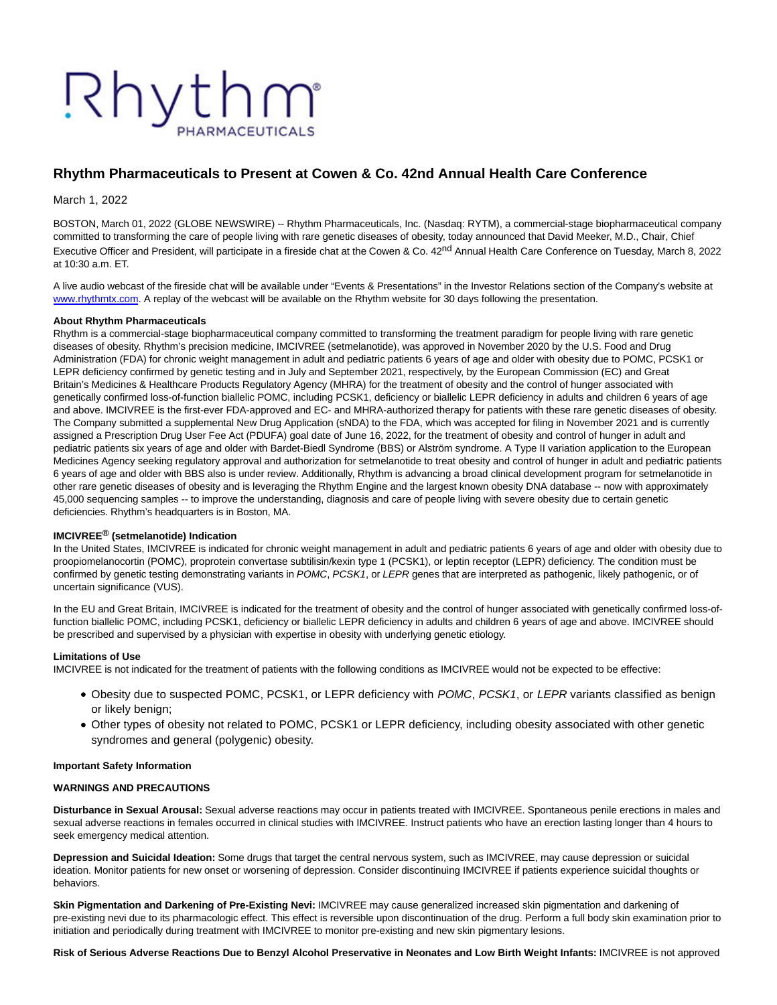# Rhythm

# **Rhythm Pharmaceuticals to Present at Cowen & Co. 42nd Annual Health Care Conference**

March 1, 2022

BOSTON, March 01, 2022 (GLOBE NEWSWIRE) -- Rhythm Pharmaceuticals, Inc. (Nasdaq: RYTM), a commercial-stage biopharmaceutical company committed to transforming the care of people living with rare genetic diseases of obesity, today announced that David Meeker, M.D., Chair, Chief Executive Officer and President, will participate in a fireside chat at the Cowen & Co. 42<sup>nd</sup> Annual Health Care Conference on Tuesday, March 8, 2022 at 10:30 a.m. ET.

A live audio webcast of the fireside chat will be available under "Events & Presentations" in the Investor Relations section of the Company's website at [www.rhythmtx.com.](http://www.rhythmtx.com/) A replay of the webcast will be available on the Rhythm website for 30 days following the presentation.

# **About Rhythm Pharmaceuticals**

Rhythm is a commercial-stage biopharmaceutical company committed to transforming the treatment paradigm for people living with rare genetic diseases of obesity. Rhythm's precision medicine, IMCIVREE (setmelanotide), was approved in November 2020 by the U.S. Food and Drug Administration (FDA) for chronic weight management in adult and pediatric patients 6 years of age and older with obesity due to POMC, PCSK1 or LEPR deficiency confirmed by genetic testing and in July and September 2021, respectively, by the European Commission (EC) and Great Britain's Medicines & Healthcare Products Regulatory Agency (MHRA) for the treatment of obesity and the control of hunger associated with genetically confirmed loss-of-function biallelic POMC, including PCSK1, deficiency or biallelic LEPR deficiency in adults and children 6 years of age and above. IMCIVREE is the first-ever FDA-approved and EC- and MHRA-authorized therapy for patients with these rare genetic diseases of obesity. The Company submitted a supplemental New Drug Application (sNDA) to the FDA, which was accepted for filing in November 2021 and is currently assigned a Prescription Drug User Fee Act (PDUFA) goal date of June 16, 2022, for the treatment of obesity and control of hunger in adult and pediatric patients six years of age and older with Bardet-Biedl Syndrome (BBS) or Alström syndrome. A Type II variation application to the European Medicines Agency seeking regulatory approval and authorization for setmelanotide to treat obesity and control of hunger in adult and pediatric patients 6 years of age and older with BBS also is under review. Additionally, Rhythm is advancing a broad clinical development program for setmelanotide in other rare genetic diseases of obesity and is leveraging the Rhythm Engine and the largest known obesity DNA database -- now with approximately 45,000 sequencing samples -- to improve the understanding, diagnosis and care of people living with severe obesity due to certain genetic deficiencies. Rhythm's headquarters is in Boston, MA.

# **IMCIVREE® (setmelanotide) Indication**

In the United States, IMCIVREE is indicated for chronic weight management in adult and pediatric patients 6 years of age and older with obesity due to proopiomelanocortin (POMC), proprotein convertase subtilisin/kexin type 1 (PCSK1), or leptin receptor (LEPR) deficiency. The condition must be confirmed by genetic testing demonstrating variants in POMC, PCSK1, or LEPR genes that are interpreted as pathogenic, likely pathogenic, or of uncertain significance (VUS).

In the EU and Great Britain, IMCIVREE is indicated for the treatment of obesity and the control of hunger associated with genetically confirmed loss-offunction biallelic POMC, including PCSK1, deficiency or biallelic LEPR deficiency in adults and children 6 years of age and above. IMCIVREE should be prescribed and supervised by a physician with expertise in obesity with underlying genetic etiology.

# **Limitations of Use**

IMCIVREE is not indicated for the treatment of patients with the following conditions as IMCIVREE would not be expected to be effective:

- Obesity due to suspected POMC, PCSK1, or LEPR deficiency with POMC, PCSK1, or LEPR variants classified as benign or likely benign;
- Other types of obesity not related to POMC, PCSK1 or LEPR deficiency, including obesity associated with other genetic syndromes and general (polygenic) obesity.

#### **Important Safety Information**

#### **WARNINGS AND PRECAUTIONS**

**Disturbance in Sexual Arousal:** Sexual adverse reactions may occur in patients treated with IMCIVREE. Spontaneous penile erections in males and sexual adverse reactions in females occurred in clinical studies with IMCIVREE. Instruct patients who have an erection lasting longer than 4 hours to seek emergency medical attention.

**Depression and Suicidal Ideation:** Some drugs that target the central nervous system, such as IMCIVREE, may cause depression or suicidal ideation. Monitor patients for new onset or worsening of depression. Consider discontinuing IMCIVREE if patients experience suicidal thoughts or behaviors.

**Skin Pigmentation and Darkening of Pre-Existing Nevi:** IMCIVREE may cause generalized increased skin pigmentation and darkening of pre-existing nevi due to its pharmacologic effect. This effect is reversible upon discontinuation of the drug. Perform a full body skin examination prior to initiation and periodically during treatment with IMCIVREE to monitor pre-existing and new skin pigmentary lesions.

**Risk of Serious Adverse Reactions Due to Benzyl Alcohol Preservative in Neonates and Low Birth Weight Infants:** IMCIVREE is not approved